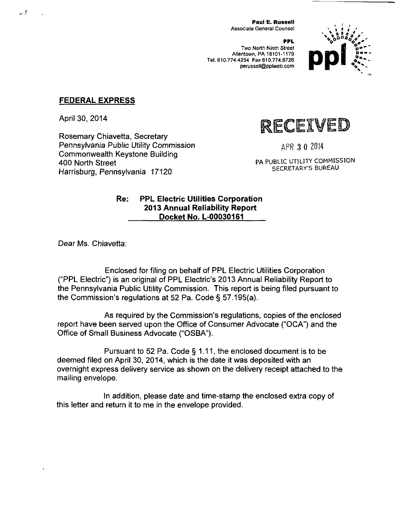Paul E. Russell Associate General Counsel

**PPL**  Two North Ninth Street Allentown, PA 18101-1179 Tel. 610.774.4254 Fax 610.774.6726 perussell@pplweb.com



#### **FEDERAL EXPRESS**

April 30, 2014

 $_{\rm H}$   $\Gamma$ 

Rosemary Chiavetta, Secretary Pennsylvania Public Utility Commission Commonwealth Keystone Building 400 North Street Harrisburg, Pennsylvania 17120

RECEIVED

APR 3 0 2014

PA PUBLIC UTILITY COMMISSION SECRETARY'S BUREAU

#### **Re: PPL Electric Utilities Corporation 2013 Annual Reliability Report Docket No. L-00030161**

Dear Ms. Chiavetta:

Enclosed for filing on behalf of PPL Electric Utilities Corporation ("PPL Electric") is an original of PPL Electric's 2013 Annual Reliability Report to the Pennsylvania Public Utility Commission. This report is being filed pursuant to the Commission's regulations at 52 Pa. Code § 57.195(a).

As required by the Commission's regulations, copies of the enclosed report have been served upon the Office of Consumer Advocate ("OCA") and the Office of Small Business Advocate ("OSBA").

Pursuant to 52 Pa. Code § 1.11, the enclosed document is to be deemed filed on April 30, 2014, which is the date it was deposited with an overnight express delivery service as shown on the delivery receipt attached to the mailing envelope.

In addition, please date and time-stamp the enclosed extra copy of this letter and return it to me in the envelope provided.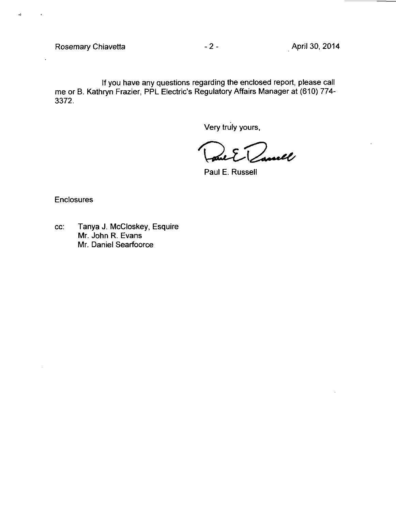$\rightarrow$ 

tf you have any questions regarding the enclosed report, please call me or B. Kathryn Frazier, PPL Electric's Regulatory Affairs Manager at (610) 774- 3372.

Very truly yours,

)<br>sovell  $\cdot$   $\left\{ \right\}$ 

Paul E. Russell

**Enclosures** 

cc: Tanya J. McCloskey, Esquire Mr. John R. Evans Mr. Daniel Searfoorce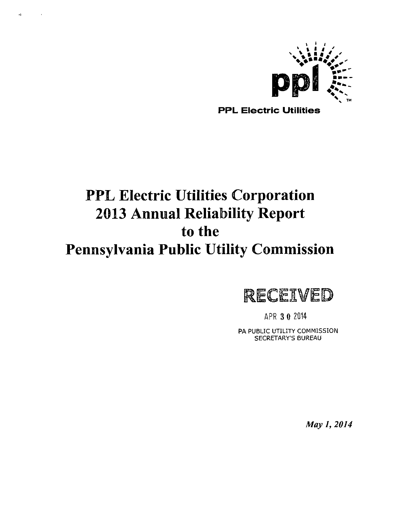

PPL Electric Utilities

# **PPL Electric Utilities Corporation 2013 Annual Reliability Report to the Pennsylvania Public Utility Commission**

 $\bullet$  ) .

 $\sim 100$ 



APR 3 0 2014

PA PUBLIC UTILITY COMMISSION SECRETARY'S BUREAU

*May 1, 2014*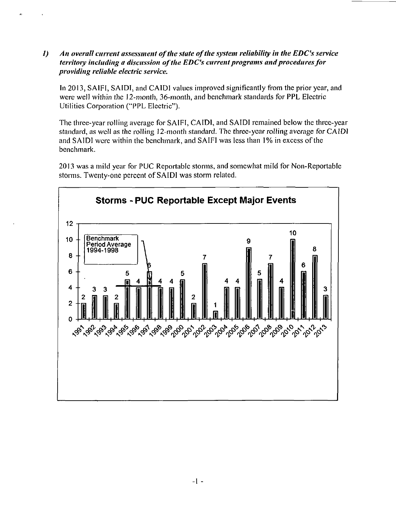*1) An overall current assessment of the state of the system reliability in the EDC's service territory including a discussion of the EDC's current programs and procedures for providing reliable electric service.* 

In 2013, SAIFI, SAIDI, and CAIDI values improved significantly from the prior year, and were well within the 12-month, 36-month, and benchmark standards for PPL Electric Utilities Corporation ("PPL Electric")-

The three-year rolling average for SAIFI, CAIDI, and SAIDI remained below the three-year standard, as well as the rolling 12-month standard. The three-year rolling average for CAIDI and SAIDI were within the benchmark, and SAIFI was less than 1% in excess of the benchmark.

2013 was a mild year for PUC Reportable storms, and somewhat mild for Non-Reportable storms. Twenty-one percent of SAIDI was storm related.

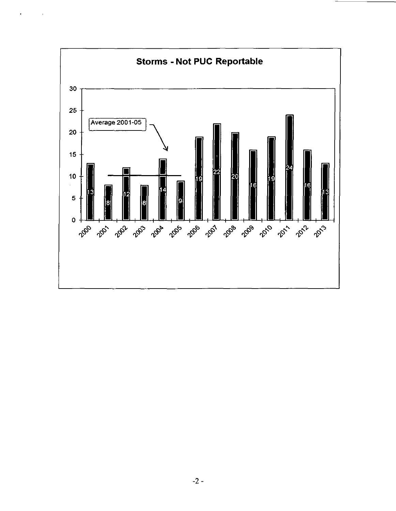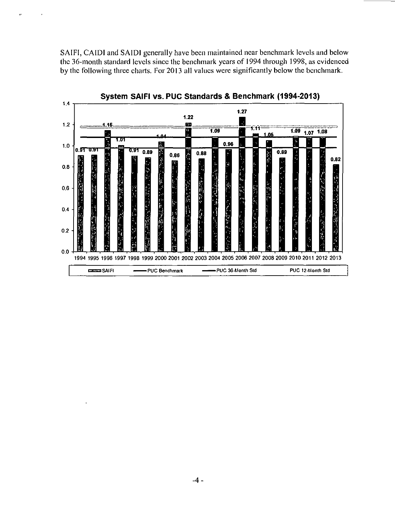SAIFI, CAIDI and SAIDI generally have been maintained near benchmark levels and below the 36-month standard levels since the benchmark years of 1994 through 1998, as evidenced by the following three charts. For 2013 all values were significantly below the benchmark.



-4.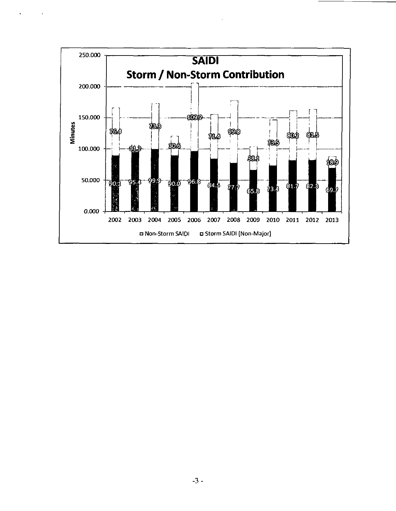

 $\sim$   $\sim$ 

 $\star$ 

 $\sim 10$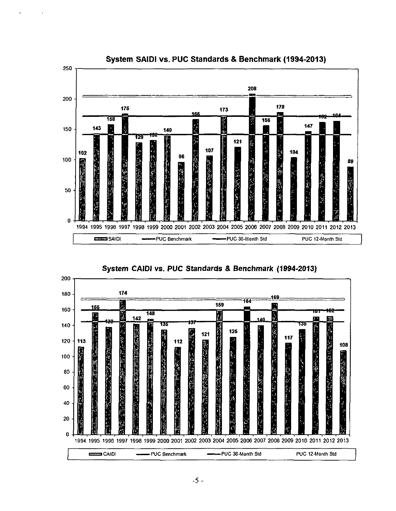

#### **System SAIDI vs. PUC Standards & Benchmark (1994-2013)**



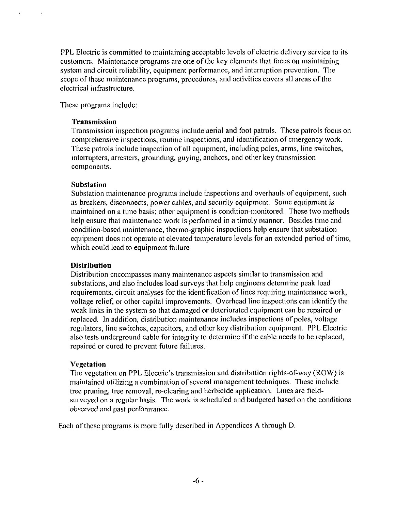PPL Electric is committed to maintaining acceptable levels of electric delivery service to its customers. Maintenance programs are one of the key elements that focus on maintaining system and circuit reliability, equipment performance, and interruption prevention. The scope of these maintenance programs, procedures, and activities covers all areas of the electrical infrastructure.

These programs include:

#### **Transmission**

Transmission inspection programs include aerial and foot patrols. These patrols focus on comprehensive inspections, routine inspections, and identification of emergency work. These patrols include inspection of all equipment, including poles, arms, line switches, interrupters, arresters, grounding, guying, anchors, and other key transmission components.

#### **Substation**

Substation maintenance programs include inspections and overhauls of equipment, such as breakers, disconnects, power cables, and security equipment. Some equipment is maintained on a time basis; other equipment is condition-monitored. These two methods help ensure that maintenance work is performed in a timely manner. Besides time and condition-based maintenance, thermo-graphic inspections help ensure that substation equipment does not operate at elevated temperature levels for an extended period of time, which could lead to equipment failure

#### **Distribution**

Distribution encompasses many maintenance aspects similar to transmission and substations, and also includes load surveys that help engineers determine peak load requirements, circuit analyses for the identification of lines requiring maintenance work, voltage relief, or other capital improvements. Overhead line inspections can identify the weak links in the system so that damaged or deteriorated equipment can be repaired or replaced. In addition, distribution maintenance includes inspections of poles, voltage regulators, line switches, capacitors, and other key distribution equipment. PPL Electric also tests underground cable for integrity to determine if the cable needs to be replaced, repaired or cured to prevent future failures.

#### Vegetation

The vegetation on PPL Electric's transmission and distribution rights-of-way (ROW) is maintained utilizing a combination of several management techniques. These include tree pruning, tree removal, re-clearing and herbicide application. Lines are fieldsurveyed on a regular basis. The work is scheduled and budgeted based on the conditions observed and past performance.

Each of these programs is more fully described in Appendices A through D.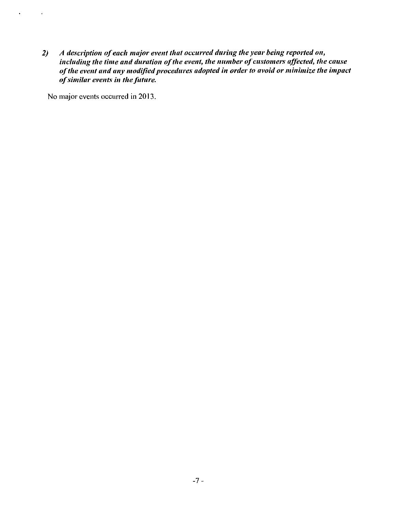*2) A description of each major event that occurred during the year being reported on,*  including the time and duration of the event, the number of customers affected, the cause *of the event and any modified procedures adopted in order to avoid or minimize the impact of similar events in the future.* 

No major events occurred in 2013.

 $\sim$   $\sim$ 

 $\bullet$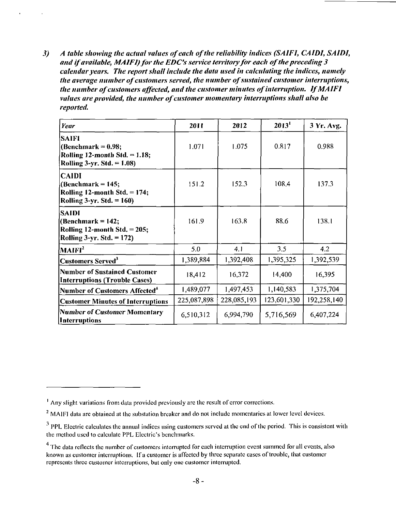*3) A table showing the actual values of each of the reliability indices (SAIFI, CAIDI, SAIDI,*  and if available, MAIFI) for the EDC's service territory for each of the preceding 3 *calendar years. The report shall include the data used in calculating the indices, namely the average number of customers served, the number of sustained customer interruptions, the number of customers affected, and the customer minutes of interruption. IfMAIFI values are provided, the number of customer momentary interruptions shall also be reported.* 

| Year                                                                                                       | 2011        | 2012        | 2013 <sup>1</sup> | 3 Yr. Avg.  |
|------------------------------------------------------------------------------------------------------------|-------------|-------------|-------------------|-------------|
| <b>SAIFI</b><br>(Benchmark = $0.98$ ;<br>Rolling 12-month Std. $= 1.18$ ;<br>Rolling $3-yr$ . Std. = 1.08) | 1.071       | 1.075       | 0.817             | 0.988       |
| <b>CAIDI</b><br>$(Benchmark = 145;$<br>Rolling 12-month Std. = 174;<br>Rolling 3-yr. Std. $= 160$ )        | 151.2       | 152.3       | 108.4             | 137.3       |
| SAIDI<br>$(Benchmark = 142;$<br>Rolling 12-month Std. $= 205$ ;<br>Rolling $3-yr$ . Std. = 172)            | 161.9       | 163.8       | 88.6              | 138.1       |
| MAIFI <sup>2</sup>                                                                                         | 5.0         | 4,1         | 3.5               | 4.2         |
| <b>Customers Served</b> <sup>3</sup>                                                                       | 1,389,884   | 1,392,408   | 1.395,325         | 1,392,539   |
| <b>Number of Sustained Customer</b><br><b>Interruptions (Trouble Cases)</b>                                | 18,412      | 16,372      | 14,400            | 16,395      |
| Number of Customers Affected <sup>4</sup>                                                                  | 1,489,077   | 1,497,453   | 1,140,583         | 1,375,704   |
| <b>Customer Minutes of Interruptions</b>                                                                   | 225,087,898 | 228,085,193 | 123,601,330       | 192,258,140 |
| <b>Number of Customer Momentary</b><br>Interruptions                                                       | 6,510,312   | 6,994,790   | 5,716,569         | 6,407,224   |

<sup>&</sup>lt;sup>1</sup> Any slight variations from data provided previously are the result of error corrections.

<sup>&</sup>lt;sup>2</sup> MAIFI data are obtained at the substation breaker and do not include momentaries at lower level devices.

 $<sup>3</sup>$  PPL Electric calculates the annual indices using customers served at the end of the period. This is consistent with</sup> the method used to calculate PPL Electric's benchmarks.

<sup>&</sup>lt;sup>4</sup> The data reflects the number of customers interrupted for each interruption event summed for all events, also known as customer interruptions. If a customer is affected by three separate cases of trouble, that customer represents three customer interruptions, but only one customer interrupted.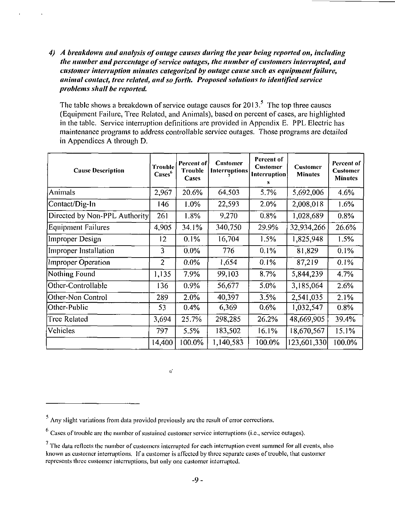*4) A breakdown and analysis of outage causes during the year being reported on, including the number and percentage of service outages, the number of customers interrupted, and customer interruption minutes categorized by outage cause such as equipment failure, animal contact, tree related, and so forth. Proposed solutions to identified service problems shall be reported.* 

The table shows a breakdown of service outage causes for  $2013$ <sup>5</sup>. The top three causes (Equipment Failure, Tree Related, and Animals), based on percent of cases, are highlighted in the table. Service interruption definitions are provided in Appendix E. PPL Electric has maintenance programs to address controllable service outages. Those programs are detailed in Appendices A through D.

| <b>Cause Description</b>      | Trouble<br>Cases <sup>6</sup> | Percent of<br><b>Trouble</b><br>Cases | <b>Customer</b><br><b>Interruptions</b> | <b>Percent of</b><br><b>Customer</b><br>Interruption<br>S | <b>Customer</b><br><b>Minutes</b> | Percent of<br><b>Customer</b><br><b>Minutes</b> |
|-------------------------------|-------------------------------|---------------------------------------|-----------------------------------------|-----------------------------------------------------------|-----------------------------------|-------------------------------------------------|
| Animals                       | 2,967                         | 20.6%                                 | 64,503                                  | 5.7%                                                      | 5,692,006                         | 4.6%                                            |
| Contact/Dig-In                | 146                           | 1.0%                                  | 22,593                                  | 2.0%                                                      | 2,008,018                         | 1.6%                                            |
| Directed by Non-PPL Authority | 261                           | 1.8%                                  | 9,270                                   | 0.8%                                                      | 1,028,689                         | 0.8%                                            |
| <b>Equipment Failures</b>     | 4.905                         | 34.1%                                 | 340,750                                 | 29.9%                                                     | 32,934,266                        | 26.6%                                           |
| Improper Design               | 12                            | 0.1%                                  | 16,704                                  | 1.5%                                                      | 1,825,948                         | 1.5%                                            |
| Improper Installation         | 3                             | $0.0\%$                               | 776                                     | 0.1%                                                      | 81,829                            | 0.1%                                            |
| Improper Operation            | $\overline{2}$                | $0.0\%$                               | 1,654                                   | 0.1%                                                      | 87,219                            | 0.1%                                            |
| Nothing Found                 | 1,135                         | 7.9%                                  | 99,103                                  | 8.7%                                                      | 5,844,239                         | 4.7%                                            |
| Other-Controllable            | 136                           | 0.9%                                  | 56,677                                  | 5.0%                                                      | 3,185,064                         | 2.6%                                            |
| Other-Non Control             | 289                           | 2.0%                                  | 40,397                                  | 3.5%                                                      | 2,541,035                         | 2.1%                                            |
| Other-Public                  | 53                            | 0.4%                                  | 6,369                                   | 0.6%                                                      | 1,032,547                         | $0.8\%$                                         |
| Tree Related                  | 3,694                         | 25.7%                                 | 298,285                                 | 26.2%                                                     | 48,669,905                        | 39.4%                                           |
| Vehicles                      | 797                           | 5.5%                                  | 183,502                                 | 16.1%                                                     | 18,670,567                        | 15.1%                                           |
|                               | 14,400                        | 100.0%                                | 1,140,583                               | 100.0%                                                    | 123,601,330                       | 100.0%                                          |

 $\eta^{\prime}$ 

<sup>5</sup>Any slight variations from data provided previously arc the result of error corrections.

 $<sup>6</sup>$  Cases of trouble are the number of sustained customer service interruptions (i.e., service outages).</sup>

The data reflects the number of customers interrupted for each interruption event summed for all events, also known as customer interruptions. If a customer is affected by three separate cases of trouble, that customer represents three customer interruptions, but only one customer interrupted.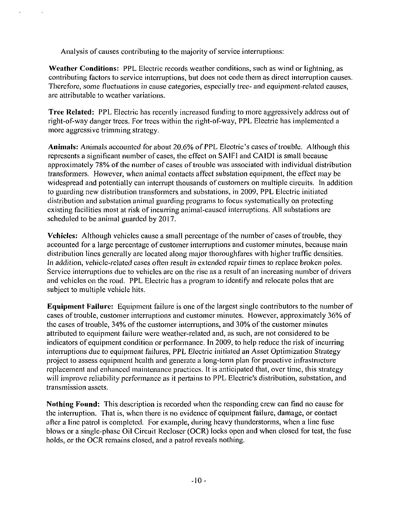Analysis of causes contributing to the majority of service interruptions:

Weather Conditions: PPL Electric records weather conditions, such as wind or lightning, as contributing factors to service interruptions, but does not code them as direct interruption causes. Therefore, some fluctuations in cause categories, especially tree- and equipment-related causes, arc attributable to weather variations.

Tree Related: PPL Electric has recently increased funding to more aggressively address out of right-of-way danger trees. For trees within the right-of-way, PPL Electric has implemented a more aggressive trimming strategy.

Animals: Animals accounted for about 20.6% of PPL Electric's cases of trouble. Although this represents a significant number of cases, the effect on SAIFI and CAIDI is small because approximately 78% of the number of cases of trouble was associated with individual distribution transformers. However, when animal contacts affect substation equipment, the effect may be widespread and potentially can interrupt thousands of customers on multiple circuits. In addition to guarding new distribution transformers and substations, in 2009, PPL Electric initiated distribution and substation animal guarding programs to focus systematically on protecting existing facilities most at risk of incurring animal-caused interruptions. All substations are scheduled to be animal guarded by 2017.

Vehicles: Although vehicles cause a small percentage of the number of cases of trouble, they accounted for a large percentage of customer interruptions and customer minutes, because main distribution lines generally are located along major thoroughfares with higher traffic densities. In addition, vehicle-related cases often result in extended repair times to replace broken poles. Service interruptions due to vehicles are on the rise as a result of an increasing number of drivers and vehicles on the road. PPL Electric has a program to identify and relocate poles that are subject to multiple vehicle hits.

Equipment Failure: Equipment failure is one of the largest single contributors to the number of cases of trouble, customer interruptions and customer minutes. However, approximately 36% of the cases of trouble, 34% of the customer interruptions, and 30% of the customer minutes attributed to equipment failure were weather-related and, as such, are not considered to be indicators of equipment condition or performance. In 2009, to help reduce the risk of incurring interruptions due to equipment failures, PPL Electric initiated an Asset Optimization Strategy project to assess equipment health and generate a long-term plan for proactive infrastructure replacement and enhanced maintenance practices. It is anticipated that, over time, this strategy will improve reliability performance as it pertains to PPL Electric's distribution, substation, and transmission assets.

Nothing Found: This description is recorded when the responding crew can find no cause for the interruption. That is, when there is no evidence of equipment failure, damage, or contact after a line patrol is completed. For example, during heavy thunderstorms, when a line fuse blows or a single-phase Oil Circuit Recloser (OCR) locks open and when closed for test, the fuse holds, or the OCR remains closed, and a patrol reveals nothing.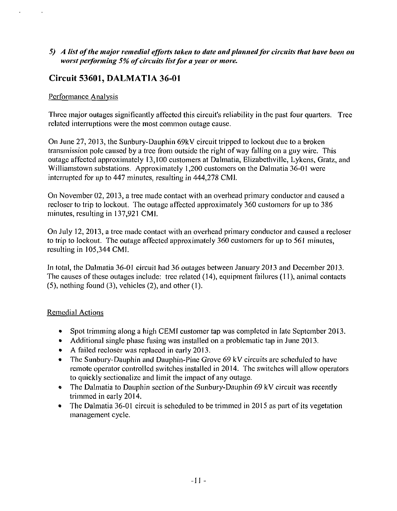#### *5) A list ofthe major remedial efforts taken to date and planned for circuits that have been on worst performing 5% of circuits list for a year or more.*

### **Circuit 53601, DALMATIA 36-01**

#### Performance Analysis

 $\mathcal{A}$ 

Three major outages significantly affected this circuit's reliability in the past four quarters. Tree related interruptions were the most common outage cause.

On June 27, 2013, the Sunbury-Dauphin 69kV circuit tripped to lockout due to a broken transmission pole caused by a tree from outside the right of way falling on a guy wire. This outage affected approximately 13,100 customers at Dalmatia, Elizabethville, Lykens, Gratz, and Williamstown substations. Approximately 1,200 customers on the Dalmatia 36-01 were interrupted for up to 447 minutes, resulting in 444,278 CMI.

On November 02, 2013, a tree made contact with an overhead primary conductor and caused a recloser to trip to lockout. The outage affected approximately 360 customers for up to 386 minutes, resulting in 137,921 CMI.

On July 12, 2013, a tree made contact with an overhead primary conductor and caused a recloser to trip to lockout. The outage affected approximately 360 customers for up to 561 minutes, resulting in 105,344 CMI.

In total, the Dalmatia 36-01 circuit had 36 outages between January 2013 and December 2013. The causes of these outages include: tree related (14), equipment failures (11), animal contacts (5), nothing found (3), vehicles (2), and other (1).

#### Remedial Actions

- Spot trimming along a high CEMI customer tap was completed in late September 2013.
- Additional single phase fusing was installed on a problematic tap in June 2013.
- A failed recloser was replaced in early 2013.
- The Sunbury-Dauphin and Dauphin-Pine Grove 69 kV circuits are scheduled to have remote operator controlled switches installed in 2014. The switches will allow operators to quickly sectionalizc and limit the impact of any outage.
- The Dalmatia to Dauphin section of the Sunbury-Dauphin 69 kV circuit was recently trimmed in early 2014.
- The Dalmatia 36-01 circuit is scheduled to be trimmed in 2015 as part of its vegetation management cycle.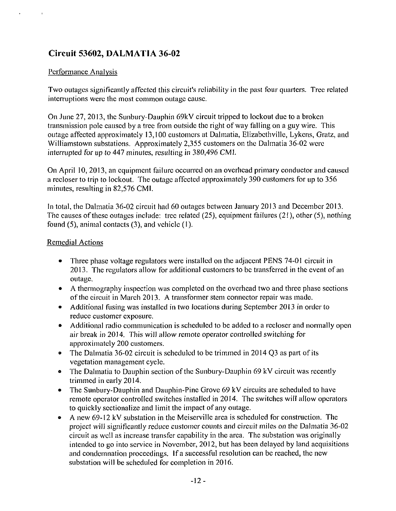### **Circuit 53602, DALMATIA 36-02**

#### Performance Analysis

Two outages significantly affected this circuit's reliability in the past four quarters. Tree related interruptions were the most common outage cause.

On June 27, 2013, the Sunbury-Dauphin 69kV circuit tripped to lockout due to a broken transmission pole caused by a tree from outside the right of way falling on a guy wire. This outage affected approximately 13,100 customers at Dalmatia, Elizabethville, Lykens, Gratz, and Williamstown substations. Approximately 2,355 customers on the Dalmatia 36-02 were interrupted for up to 447 minutes, resulting in 380,496 CMI.

On April 10, 2013, an equipment failure occurred on an overhead primary conductor and caused a recloser to trip to lockout. The outage affected approximately 390 customers for up to 356 minutes, resulting in 82,576 CMI.

In total, the Dalmatia 36-02 circuit had 60 outages between January 2013 and December 2013. The causes of these outages include: tree related (25), equipment failures (21), other (5), nothing found (5), animal contacts (3), and vehicle (1).

#### Remedial Actions

- Three phase voltage regulators were installed on the adjacent PENS 74-01 circuit in 2013. The regulators allow for additional customers to be transferred in the event of an outage.
- A thermography inspection was completed on the overhead two and three phase sections of the circuit in March 2013. A transformer stem connector repair was made.
- Additional fusing was installed in two locations during September 2013 in order to reduce customer exposure.
- Additional radio communication is scheduled to be added to a recloser and normally open air break in 2014. This will allow remote operator controlled switching for approximately 200 customers.
- The Dalmatia 36-02 circuit is scheduled to be trimmed in 2014 Q3 as part of its vegetation management cycle.
- The Dalmatia to Dauphin section of the Sunbury-Dauphin 69 kV circuit was recently trimmed in early 2014.
- The Sunbury-Dauphin and Dauphin-Pine Grove 69 kV circuits are scheduled to have remote operator controlled switches installed in 2014. The switches will allow operators to quickly sectionalizc and limit the impact of any outage.
- A new 69-12 kV substation in the Meiserville area is scheduled for construction. The project will significantly reduce customer counts and circuit miles on the Dalmatia 36-02 circuit as well as increase transfer capability in the area. The substation was originally intended to go into service in November, 2012, but has been delayed by land acquisitions and condemnation proceedings. If a successful resolution can be reached, the new substation will be scheduled for completion in 2016.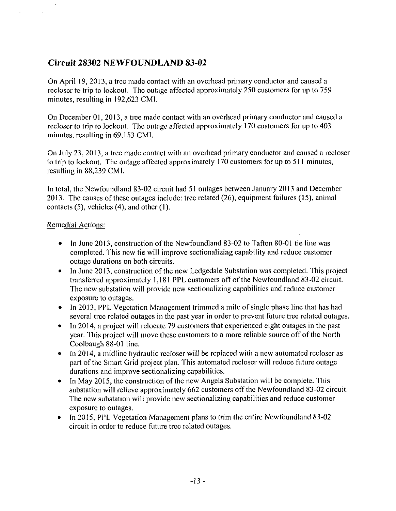### **Circuit 28302 NEWFOUNDLAND 83-02**

On April 19, 2013, a tree made contact with an overhead primary conductor and caused a recloser to trip to lockout. The outage affected approximately 250 customers for up to 759 minutes, resulting in 192,623 CMI.

On December 01, 2013, a tree made contact with an overhead primary conductor and caused a recloser to trip to lockout. The outage affected approximately 170 customers for up to 403 minutes, resulting in 69,153 CMI.

On July 23, 2013, a tree made contact with an overhead primary conductor and caused a recloser to trip to lockout. The outage affected approximately 170 customers for up to 511 minutes, resulting in 88,239 CMI.

In total, the Newfoundland 83-02 circuit had 51 outages between January 2013 and December 2013. The causes of these outages include: tree related (26), equipment failures (15), animal contacts (5), vehicles (4), and other (1).

#### Remedial Actions:

- In June 2013, construction of the Newfoundland 83-02 to Tafton 80-01 tie line was completed. This new tie will improve scctionalizing capability and reduce customer outage durations on both circuits.
- In June 2013, construction of the new Ledgedale Substation was completed. This project transferred approximately 1,181 PPL customers off of the Newfoundland 83-02 circuit. The new substation will provide new scctionalizing capabilities and reduce customer exposure to outages.
- In 2013, PPL Vegetation Management trimmed a mile of single phase line that has had several tree related outages in the past year in order to prevent future tree related outages.
- In 2014, a project will relocate 79 customers that experienced eight outages in the past year. This project will move these customers to a more reliable source off of the North Coolbaugh 88-01 line.
- In 2014, a midline hydraulic recloser will be replaced with a new automated recloser as part of the Smart Grid project plan. This automated recloser will reduce future outage durations and improve scctionalizing capabilities.
- In May 2015, the construction of the new Angels Substation will be complete. This substation will relieve approximately 662 customers off the Newfoundland 83-02 circuit. The new substation will provide new scctionalizing capabilities and reduce customer exposure to outages.
- In 2015, PPL Vegetation Management plans to trim the entire Newfoundland 83-02 circuit in order to reduce future tree related outages.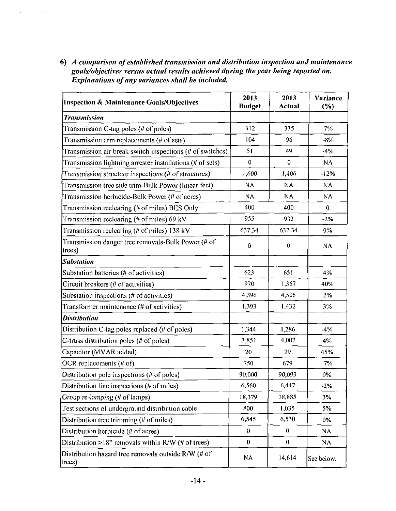*6) A comparison of established transmission and distribution inspection and maintenance goals/objectives versus actual results achieved during the year being reported on. Explanations of any variances shall be included.* 

 $\mathbf{z} = \mathbf{z} \times \mathbf{z}$  , where

| <b>Inspection &amp; Maintenance Goals/Objectives</b>                   | 2013<br><b>Budget</b> | 2013<br><b>Actual</b> | Variance<br>(%) |
|------------------------------------------------------------------------|-----------------------|-----------------------|-----------------|
| <b>Transmission</b>                                                    |                       |                       |                 |
| Transmission C-tag poles (# of poles)                                  | 312                   | 335                   | 7%              |
| Transmission arm replacements (# of sets)                              | 104                   | 96                    | $-8%$           |
| Transmission air break switch inspections (# of switches)              | 51                    | 49                    | $-4%$           |
| Transmission lightning arrester installations (# of sets)              | $\mathbf{0}$          | $\bf{0}$              | $N\Lambda$      |
| Transmission structure inspections (# of structures)                   | 1,600                 | 1,406                 | $-12%$          |
| Transmission tree side trim-Bulk Power (linear feet)                   | N٨                    | <b>NA</b>             | <b>ΝΑ</b>       |
| Transmission herbicide-Bulk Power (# of acres)                         | N٨                    | <b>NA</b>             | <b>ΝΑ</b>       |
| Transmission reclearing (# of miles) BES Only                          | 400                   | 400                   | $\bf{0}$        |
| Transmission reclearing (# of miles) 69 kV                             | 955                   | 932                   | $-2%$           |
| Transmission reclearing $(\# \text{ of miles})$ 138 kV                 | 637.34                | 637.34                | $0\%$           |
| Transmission danger tree removals-Bulk Power (# of<br>trees)           | $\bf{0}$              | $\bf{0}$              | $N\Lambda$      |
| <b>Substation</b>                                                      |                       |                       |                 |
| Substation batteries $($ # of activities $)$                           | 623                   | 651                   | 4%              |
| Circuit breakers (# of activities)                                     | 970                   | 1,357                 | 40%             |
| Substation inspections (# of activities)                               | 4,396                 | 4,505                 | $2\%$           |
| Transformer maintenance (# of activities)                              | 1,393                 | 1,432                 | 3%              |
| <b>Distribution</b>                                                    |                       |                       |                 |
| Distribution C-tag poles replaced $(# of poles)$                       | 1,344                 | 1,286                 | $-4%$           |
| C-truss distribution poles (# of poles)                                | 3,851                 | 4,002                 | 4%              |
| Capacitor (MVAR added)                                                 | 20                    | 29                    | 45%             |
| OCR replacements $(H \text{ of})$                                      | 750                   | 679                   | $-7%$           |
| Distribution pole inspections (# of poles)                             | 90,000                | 90,093                | $0\%$           |
| Distribution line inspections (# of miles)                             | 6,560                 | 6,447                 | $-2%$           |
| Group re-lamping (# of lamps)                                          | 18,379                | 18,885                | 3%              |
| Test sections of underground distribution cable                        | 800                   | 1,035                 | 5%              |
| Distribution tree trimming (# of miles)                                | 6,545                 | 6,530                 | $0\%$           |
| Distribution herbicide (# of acres)                                    | $\theta$              | $\bf{0}$              | NA              |
| Distribution >18" removals within $R/W$ (# of trees)                   | $\mathbf{0}$          | $\bf{0}$              | NA              |
| Distribution hazard tree removals outside R/W (# of<br>$ {\rm trees})$ | NA                    | 14,614                | See below.      |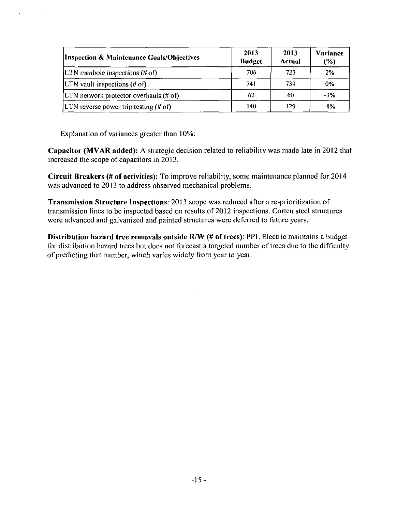| <b>Inspection &amp; Maintenance Goals/Objectives</b> | 2013<br><b>Budget</b> | 2013<br>Actual | Variance<br>$(\%)$ |
|------------------------------------------------------|-----------------------|----------------|--------------------|
| LTN manhole inspections $(\# \text{ of})$            | 706                   | 723            | 2%                 |
| LTN vault inspections $(H \circ f)$                  | 741                   | 739            | $0\%$              |
| [LTN network protector overhauls $(\# \text{ of})$ ] | 62                    | 60             | $-3%$              |
| LTN reverse power trip testing $(\# \text{ of})$     | 140                   | 129            | -8%                |

Explanation of variances greater than 10%:

Capacitor (MVAR added): A strategic decision related to reliability was made late in 2012 that increased the scope of capacitors in 2013.

Circuit Breakers (# of activities): To improve reliability, some maintenance planned for 2014 was advanced to 2013 to address observed mechanical problems.

Transmission Structure Inspections: 2013 scope was reduced after a re-prioritization of transmission lines to be inspected based on results of 2012 inspections. Cortcn steel structures were advanced and galvanized and painted structures were deferred to future years.

Distribution hazard tree removals outside R/W (# of trees): PPL Electric maintains a budget for distribution hazard trees but does not forecast a targeted number of trees due to the difficulty of predicting that number, which varies widely from year to year.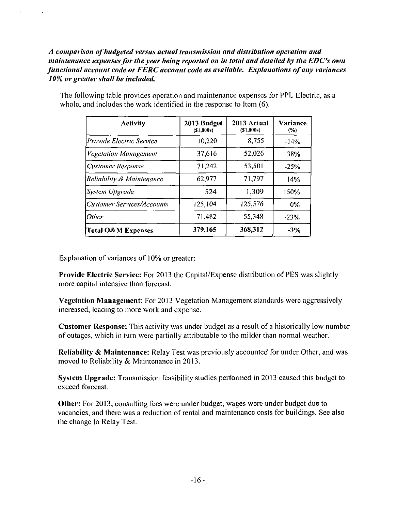*A comparison of budgeted versus actual transmission and distribution operation and maintenance expenses for the year being reported on in total and detailed by the EDC's own functional account code or FERC account code as available. Explanations of any variances 10% or greater shall be included.* 

| <b>Activity</b>              | 2013 Budget<br>(S1,000s) | 2013 Actual<br>(51,000s) | <b>Variance</b><br>$(\%)$ |
|------------------------------|--------------------------|--------------------------|---------------------------|
| Provide Electric Service     | 10,220                   | 8,755                    | $-14%$                    |
| <b>Vegetation Management</b> | 37,616                   | 52,026                   | 38%                       |
| <b>Customer Response</b>     | 71,242                   | 53,501                   | $-25%$                    |
| Reliability & Maintenance    | 62,977                   | 71,797                   | 14%                       |
| System Upgrade               | 524                      | 1,309                    | 150%                      |
| Customer Services/Accounts   | 125,104                  | 125,576                  | $0\%$                     |
| Other                        | 71,482                   | 55,348                   | $-23%$                    |
| Total O&M Expenses           | 379,165                  | 368,312                  | $-3\%$                    |

The following table provides operation and maintenance expenses for PPL Electric, as a whole, and includes the work identified in the response to Item (6).

Explanation of variances of 10% or greater:

 $\ddot{\phantom{a}}$ 

 $\lambda$ 

Provide Electric Service: For 2013 the Capital/Expense distribution of PES was slightly more capital intensive than forecast.

Vegetation Management: For 2013 Vegetation Management standards were aggressively increased, leading to more work and expense.

Customer Response: This activity was under budget as a result of a historically low number of outages, which in turn were partially attributable to the milder than normal weather.

Reliability & Maintenance: Relay Test was previously accounted for under Other, and was moved to Reliability & Maintenance in 2013.

System Upgrade: Transmission feasibility studies performed in 2013 caused this budget to exceed forecast.

Other: For 2013, consulting fees were under budget, wages were under budget due to vacancies, and there was a reduction of rental and maintenance costs for buildings. See also the change to Relay Test.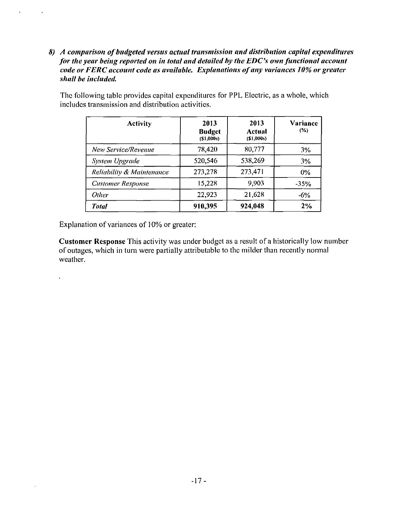*8) A comparison of budgeted versus actual transmission and distribution capital expenditures for the year being reported on in total and detailed by the EDC's own functional account code or FERC account code as available. Explanations of any variances 10% or greater shall be included.* 

| <b>Activity</b>                      | 2013<br><b>Budget</b><br>(S1,000s) | 2013<br>Actual<br>( \$1,000s) | Variance<br>$(\% )$ |
|--------------------------------------|------------------------------------|-------------------------------|---------------------|
| New Service/Revenue                  | 78,420                             | 80,777                        | 3%                  |
| <b>System Upgrade</b>                | 520,546                            | 538,269                       | 3%                  |
| <b>Reliability &amp; Maintenance</b> | 273,278                            | 273,471                       | $0\%$               |
| <b>Customer Response</b>             | 15,228                             | 9,903                         | $-35%$              |
| <b>Other</b>                         | 22,923                             | 21,628                        | $-6\%$              |
| <b>Total</b>                         | 910,395                            | 924,048                       | 2%                  |

The following table provides capital expenditures for PPL Electric, as a whole, which includes transmission and distribution activities.

Explanation of variances of 10% or greater:

 $\epsilon$ 

 $\ddot{\phantom{1}}$ 

 $\ddot{\phantom{0}}$ 

Customer Response This activity was under budget as a result of a historically low number of outages, which in turn were partially attributable to the milder than recently normal weather.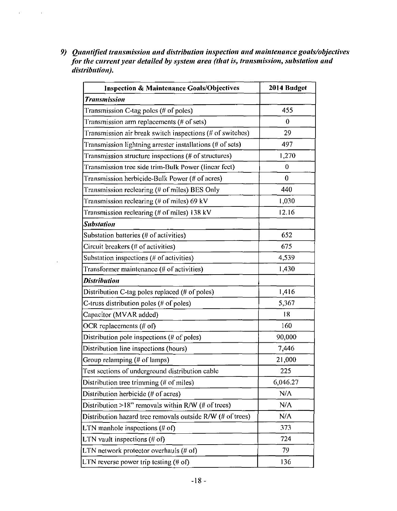*9) Quantified transmission and distribution inspection and maintenance goats/objectives for the current year detailed by system area (that is, transmission, substation and distribution).* 

 $\mathcal{A}^{\mathrm{max}}$ 

 $\sim$   $\sim$ 

 $\overline{a}$ 

| <b>Inspection &amp; Maintenance Goals/Objectives</b>       | 2014 Budget |
|------------------------------------------------------------|-------------|
| <b>Transmission</b>                                        |             |
| Transmission C-tag poles (# of poles)                      | 455         |
| Transmission arm replacements ( $#$ of sets)               | 0           |
| Transmission air break switch inspections (# of switches)  | 29          |
| Transmission lightning arrester installations (# of sets)  | 497         |
| Transmission structure inspections (# of structures)       | 1,270       |
| Transmission tree side trim-Bulk Power (linear feet)       | 0           |
| Transmission herbicide-Bulk Power (# of acres)             | $\bf{0}$    |
| Transmission reclearing (# of miles) BES Only              | 440         |
| Transmission reclearing $($ # of miles) 69 kV              | 1,030       |
| Transmission reclearing $(\# \text{ of miles})$ 138 kV     | 12.16       |
| <b>Substation</b>                                          |             |
| Substation batteries (# of activities)                     | 652         |
| Circuit breakers (# of activities)                         | 675         |
| Substation inspections (# of activities)                   | 4,539       |
| Transformer maintenance (# of activities)                  | 1,430       |
| <b>Distribution</b>                                        |             |
| Distribution C-tag poles replaced (# of poles)             | 1,416       |
| C-truss distribution poles ( $#$ of poles)                 | 5,367       |
| Capacitor (MVAR added)                                     | 18          |
| OCR replacements $($ <i>i</i> of $)$                       | 160         |
| Distribution pole inspections (# of poles)                 | 90,000      |
| Distribution line inspections (hours)                      | 7,446       |
| Group relamping (# of lamps)                               | 21,000      |
| Test sections of underground distribution cable            | 225         |
| Distribution tree trimming $(# of miles)$                  | 6,046.27    |
| Distribution herbicide (# of acres)                        | $N/\Lambda$ |
| Distribution >18" removals within $R/W$ (# of trees)       | N/A         |
| Distribution hazard tree removals outside R/W (# of trees) | N/A         |
| LTN manhole inspections $(\# \text{ of})$                  | 373         |
| LTN vault inspections $(\# \text{ of})$                    | 724         |
| LTN network protector overhauls (# of)                     | 79          |
| LTN reverse power trip testing $(# of)$                    | 136         |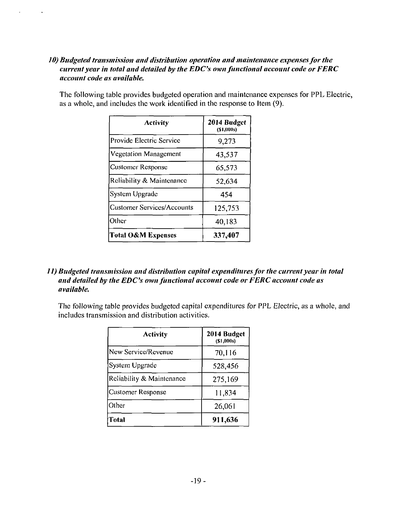#### *10) Budgeted transmission and distribution operation and maintenance expenses for the current year in total and detailed by the EDCs own functional account code or FERC account code as available.*

 $\mathbf{v} = \mathbf{v}$ 

 $\sim 100$ 

| The following table provides budgeted operation and maintenance expenses for PPL Electric, |
|--------------------------------------------------------------------------------------------|
| as a whole, and includes the work identified in the response to Item (9).                  |
|                                                                                            |

| Activity                   | 2014 Budget<br>(\$1,000s) |
|----------------------------|---------------------------|
| Provide Electric Service   | 9,273                     |
| Vegetation Management      | 43,537                    |
| Customer Response          | 65.573                    |
| Reliability & Maintenance  | 52.634                    |
| System Upgrade             | 454                       |
| Customer Services/Accounts | 125,753                   |
| Other                      | 40,183                    |
| Total O&M Expenses         | 337,407                   |

*11) Budgeted transmission and distribution capital expenditures for the current year in total and detailed hy the EDCs own functional account code or FERC account code as available.* 

The following table provides budgeted capital expenditures for PPL Electric, as a whole, and includes transmission and distribution activities.

| Activity                  | 2014 Budget<br>(S1,000s) |
|---------------------------|--------------------------|
| New Service/Revenue       | 70,116                   |
| System Upgrade            | 528,456                  |
| Reliability & Maintenance | 275,169                  |
| <b>Customer Response</b>  | 11,834                   |
| Other                     | 26,061                   |
| Total                     | 911,636                  |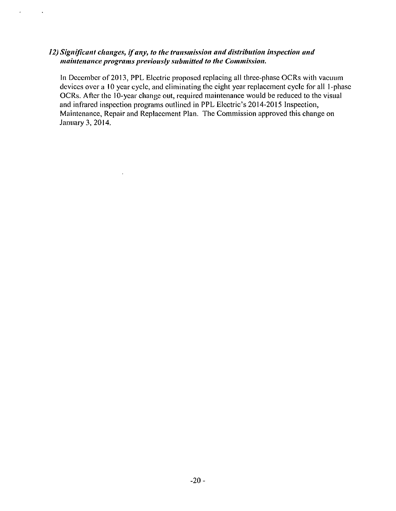#### *12) Significant changes, if any, to the transmission and distribution inspection and maintenance programs previously submitted to the Commission.*

 $\bar{\phantom{a}}$ 

 $\mathbf{z} = \mathbf{z}$ 

 $\sim 100$ 

In December of 2013, PPL Electric proposed replacing all three-phase OCRs with vacuum devices over a 10 year cycle, and eliminating the eight year replacement cycle for all 1-phase OCRs. After the 10-year change out, required maintenance would be reduced to the visual and infrared inspection programs outlined in PPL Electric's 2014-2015 Inspection, Maintenance, Repair and Replacement Plan. The Commission approved this change on January 3, 2014.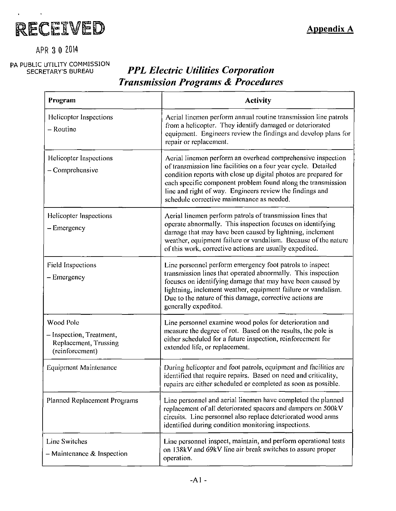

### APR 3 0 ZOH

# PA PUBLIC UTILITY COMMISSION<br>SECRETARY'S BUREAU

# **PPL Electric Utilities Corporation** *Transmission Programs & Procedures*

| Program                                                                           | <b>Activity</b>                                                                                                                                                                                                                                                                                                                                                            |
|-----------------------------------------------------------------------------------|----------------------------------------------------------------------------------------------------------------------------------------------------------------------------------------------------------------------------------------------------------------------------------------------------------------------------------------------------------------------------|
| Helicopter Inspections<br>- Routine                                               | Aerial linemen perform annual routine transmission line patrols<br>from a helicopter. They identify damaged or deteriorated<br>equipment. Engineers review the findings and develop plans for<br>repair or replacement.                                                                                                                                                    |
| Helicopter Inspections<br>$-$ Comprehensive                                       | Aerial linemen perform an overhead comprehensive inspection<br>of transmission line facilities on a four year cycle. Detailed<br>condition reports with close up digital photos are prepared for<br>each specific component problem found along the transmission<br>line and right of way. Engineers review the findings and<br>schedule corrective maintenance as needed. |
| <b>Helicopter Inspections</b><br>$-$ Emergency                                    | Aerial linemen perform patrols of transmission lines that<br>operate abnormally. This inspection focuses on identifying<br>damage that may have been caused by lightning, inclement<br>weather, equipment failure or vandalism. Because of the nature<br>of this work, corrective actions are usually expedited.                                                           |
| <b>Field Inspections</b><br>- Emergency                                           | Line personnel perform emergency foot patrols to inspect<br>transmission lines that operated abnormally. This inspection<br>focuses on identifying damage that may have been caused by<br>lightning, inclement weather, equipment failure or vandalism.<br>Due to the nature of this damage, corrective actions are<br>generally expedited.                                |
| Wood Pole<br>- Inspection, Treatment,<br>Replacement, Trussing<br>(reinforcement) | Line personnel examine wood poles for deterioration and<br>measure the degree of rot. Based on the results, the pole is<br>either scheduled for a future inspection, reinforcement for<br>extended life, or replacement.                                                                                                                                                   |
| Equipment Maintenance                                                             | During helicopter and foot patrols, equipment and facilities are<br>identified that require repairs. Based on need and criticality,<br>repairs are either scheduled or completed as soon as possible.                                                                                                                                                                      |
| Planned Replacement Programs                                                      | Line personnel and aerial linemen have completed the planned<br>replacement of all deteriorated spacers and dampers on 500kV<br>circuits. Line personnel also replace deteriorated wood arms<br>identified during condition monitoring inspections.                                                                                                                        |
| <b>Line Switches</b><br>$-$ Maintenance & Inspection                              | Line personnel inspect, maintain, and perform operational tests<br>on 138kV and 69kV line air break switches to assure proper<br>operation.                                                                                                                                                                                                                                |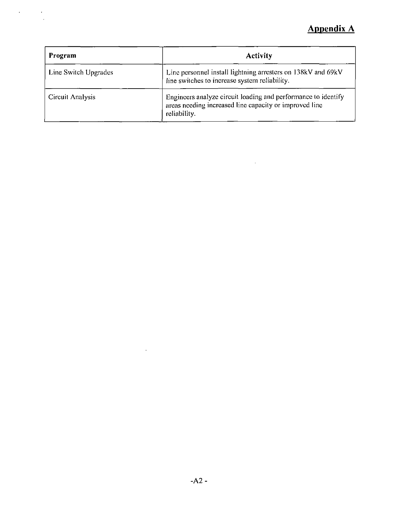# **Appendix A**

| Program              | <b>Activity</b>                                                                                                                         |
|----------------------|-----------------------------------------------------------------------------------------------------------------------------------------|
| Line Switch Upgrades | Line personnel install lightning arresters on 138kV and 69kV<br>line switches to increase system reliability.                           |
| Circuit Analysis     | Engineers analyze circuit loading and performance to identify<br>areas needing increased line capacity or improved line<br>reliability. |

 $\mathcal{L}^{\text{max}}_{\text{max}}$  and  $\mathcal{L}^{\text{max}}_{\text{max}}$ 

 $\label{eq:2} \frac{1}{\sqrt{2}}\int_{0}^{\infty}\frac{1}{\sqrt{2\pi}}\left(\frac{1}{\sqrt{2\pi}}\right)^{2}d\mu_{\rm{max}}^{2}$ 

 $\mathcal{L}^{\text{max}}_{\text{max}}$  , where  $\mathcal{L}^{\text{max}}_{\text{max}}$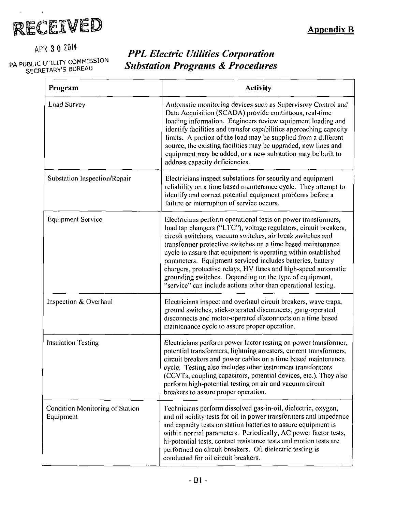

APR 3 0 2014

PA PUBLIC UTILITY COMMISSION SECRETARY'S BUREAU

# *PPL Electric Utilities Corporation Substation Programs & Procedures*

| Program                                      | <b>Activity</b>                                                                                                                                                                                                                                                                                                                                                                                                                                                                                                                                                                              |
|----------------------------------------------|----------------------------------------------------------------------------------------------------------------------------------------------------------------------------------------------------------------------------------------------------------------------------------------------------------------------------------------------------------------------------------------------------------------------------------------------------------------------------------------------------------------------------------------------------------------------------------------------|
| Load Survey                                  | Automatic monitoring devices such as Supervisory Control and<br>Data Acquisition (SCADA) provide continuous, real-time<br>loading information. Engineers review equipment loading and<br>identify facilities and transfer capabilities approaching capacity<br>limits. A portion of the load may be supplied from a different<br>source, the existing facilities may be upgraded, new lines and<br>equipment may be added, or a new substation may be built to<br>address capacity deficiencies.                                                                                             |
| Substation Inspection/Repair                 | Electricians inspect substations for security and equipment<br>reliability on a time based maintenance cycle. They attempt to<br>identify and correct potential equipment problems before a<br>failure or interruption of service occurs.                                                                                                                                                                                                                                                                                                                                                    |
| <b>Equipment Service</b>                     | Electricians perform operational tests on power transformers,<br>load tap changers ("LTC"), voltage regulators, circuit breakers,<br>circuit switchers, vacuum switches, air break switches and<br>transformer protective switches on a time based maintenance<br>cycle to assure that equipment is operating within established<br>parameters. Equipment serviced includes batteries, battery<br>chargers, protective relays, HV fuses and high-speed automatic<br>grounding switches. Depending on the type of equipment,<br>"service" can include actions other than operational testing. |
| Inspection & Overhaul                        | Electricians inspect and overhaul circuit breakers, wave traps,<br>ground switches, stick-operated disconnects, gang-operated<br>disconnects and motor-operated disconnects on a time based<br>maintenance cycle to assure proper operation.                                                                                                                                                                                                                                                                                                                                                 |
| Insulation Testing                           | Electricians perform power factor testing on power transformer,<br>potential transformers, lightning arresters, current transformers,<br>circuit breakers and power cables on a time based maintenance<br>cycle. Testing also includes other instrument transformers<br>(CCVTs, coupling capacitors, potential devices, etc.). They also<br>perform high-potential testing on air and vacuum circuit<br>breakers to assure proper operation.                                                                                                                                                 |
| Condition Monitoring of Station<br>Equipment | Technicians perform dissolved gas-in-oil, dielectric, oxygen,<br>and oil acidity tests for oil in power transformers and impedance<br>and capacity tests on station batteries to assure equipment is<br>within normal parameters. Periodically, AC power factor tests,<br>hi-potential tests, contact resistance tests and motion tests are<br>performed on circuit breakers. Oil dielectric testing is<br>conducted for oil circuit breakers.                                                                                                                                               |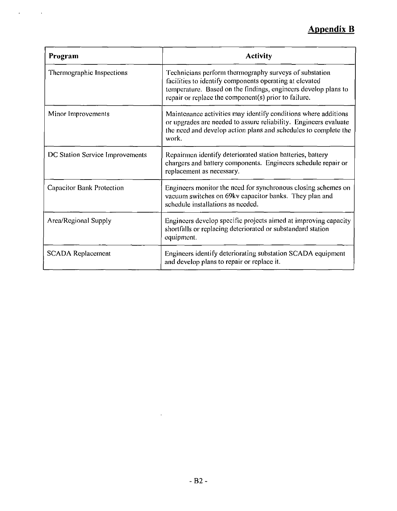# **Appendix B**

| Program                          | <b>Activity</b>                                                                                                                                                                                                                                |
|----------------------------------|------------------------------------------------------------------------------------------------------------------------------------------------------------------------------------------------------------------------------------------------|
| Thermographic Inspections        | Technicians perform thermography surveys of substation<br>facilities to identify components operating at elevated<br>temperature. Based on the findings, engineers develop plans to<br>repair or replace the component $(s)$ prior to failure. |
| Minor Improvements               | Maintenance activities may identify conditions where additions<br>or upgrades are needed to assure reliability. Engineers evaluate<br>the need and develop action plans and schedules to complete the<br>work.                                 |
| DC Station Service Improvements  | Repairmen identify deteriorated station batteries, battery<br>chargers and battery components. Engineers schedule repair or<br>replacement as necessary.                                                                                       |
| <b>Capacitor Bank Protection</b> | Engineers monitor the need for synchronous closing schemes on<br>vacuum switches on 69kv capacitor banks. They plan and<br>schedule installations as needed.                                                                                   |
| Area/Regional Supply             | Engineers develop specific projects aimed at improving capacity<br>shortfalls or replacing deteriorated or substandard station<br>equipment.                                                                                                   |
| <b>SCADA Replacement</b>         | Engineers identify deteriorating substation SCADA equipment<br>and develop plans to repair or replace it.                                                                                                                                      |

 $\mathbf{z} = \mathbf{z} \times \mathbf{z}$  ,  $\mathbf{z} = \mathbf{z}$ 

 $\hat{\mathbf{r}}$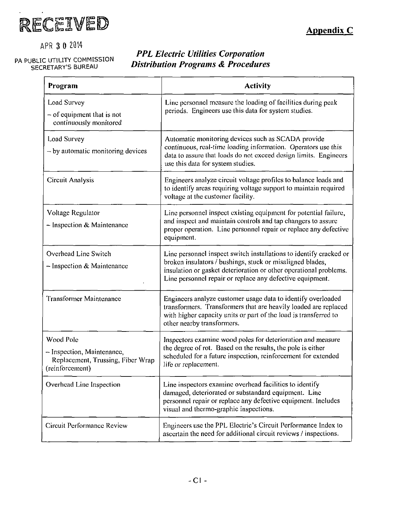

**Appendix C** 

APR 3 0 2014

#### PA PUBLIC UTILITY COMMISSION SECRETARY'S BUREAU

### *PPL Electric Utilities Corporation Distribution Programs & Procedures*

| Program                                                                                         | <b>Activity</b>                                                                                                                                                                                                                                                   |
|-------------------------------------------------------------------------------------------------|-------------------------------------------------------------------------------------------------------------------------------------------------------------------------------------------------------------------------------------------------------------------|
| Load Survey<br>$-$ of equipment that is not<br>continuously monitored                           | Line personnel measure the loading of facilities during peak<br>periods. Engineers use this data for system studies.                                                                                                                                              |
| Load Survey<br>$-$ by automatic monitoring devices                                              | Automatic monitoring devices such as SCADA provide<br>continuous, real-time loading information. Operators use this<br>data to assure that loads do not exceed design limits. Engineers<br>use this data for system studies.                                      |
| Circuit Analysis                                                                                | Engineers analyze circuit voltage profiles to balance loads and<br>to identify areas requiring voltage support to maintain required<br>voltage at the customer facility.                                                                                          |
| Voltage Regulator<br>$-$ Inspection & Maintenance                                               | Line personnel inspect existing equipment for potential failure,<br>and inspect and maintain controls and tap changers to assure<br>proper operation. Line personnel repair or replace any defective<br>equipment.                                                |
| Overhead Line Switch<br>$\sim$ Inspection & Maintenance                                         | Line personnel inspect switch installations to identify cracked or<br>broken insulators / bushings, stuck or misaligned blades,<br>insulation or gasket deterioration or other operational problems.<br>Line personnel repair or replace any defective equipment. |
| <b>Transformer Maintenance</b>                                                                  | Engineers analyze customer usage data to identify overloaded<br>transformers. Transformers that are heavily loaded are replaced<br>with higher capacity units or part of the load is transferred to<br>other nearby transformers.                                 |
| Wood Pole<br>- Inspection, Maintenance,<br>Replacement, Trussing, Fiber Wrap<br>(reinforcement) | Inspectors examine wood poles for deterioration and measure<br>the degree of rot. Based on the results, the pole is either<br>scheduled for a future inspection, reinforcement for extended<br>life or replacement.                                               |
| Overhead Line Inspection                                                                        | Line inspectors examine overhead facilities to identify<br>damaged, deteriorated or substandard equipment. Line<br>personnel repair or replace any defective equipment. Includes<br>visual and thermo-graphic inspections.                                        |
| Circuit Performance Review                                                                      | Engineers use the PPL Electric's Circuit Performance Index to<br>ascertain the need for additional circuit reviews / inspections.                                                                                                                                 |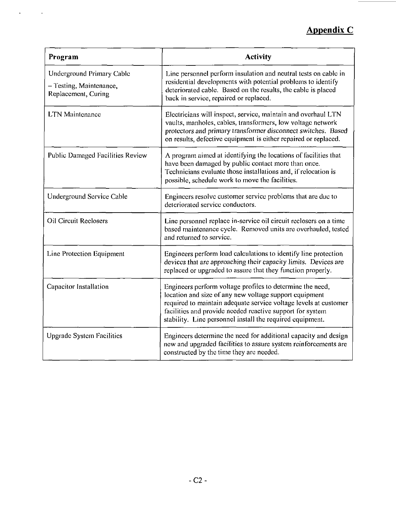# **Appendix C**

 $\overline{\phantom{a}}$ 

| Program                                                                     | <b>Activity</b>                                                                                                                                                                                                                                                                                                   |
|-----------------------------------------------------------------------------|-------------------------------------------------------------------------------------------------------------------------------------------------------------------------------------------------------------------------------------------------------------------------------------------------------------------|
| Underground Primary Cable<br>- Testing, Maintenance,<br>Replacement, Curing | Line personnel perform insulation and neutral tests on cable in<br>residential developments with potential problems to identify<br>deteriorated cable. Based on the results, the cable is placed<br>back in service, repaired or replaced.                                                                        |
| <b>LTN</b> Maintenance                                                      | Electricians will inspect, service, maintain and overhaul LTN<br>vaults, manholes, cables, transformers, low voltage network<br>protectors and primary transformer disconnect switches. Based<br>on results, defective equipment is either repaired or replaced.                                                  |
| <b>Public Damaged Facilities Review</b>                                     | A program aimed at identifying the locations of facilities that<br>have been damaged by public contact more than once.<br>Technicians evaluate those installations and, if relocation is<br>possible, schedule work to move the facilities.                                                                       |
| Underground Service Cable                                                   | Engineers resolve customer service problems that are due to<br>deteriorated service conductors.                                                                                                                                                                                                                   |
| <b>Oil Circuit Reclosers</b>                                                | Line personnel replace in-service oil circuit reclosers on a time<br>based maintenance cycle. Removed units are overhauled, tested<br>and returned to service.                                                                                                                                                    |
| Line Protection Equipment                                                   | Engineers perform load calculations to identify line protection<br>devices that are approaching their capacity limits. Devices are<br>replaced or upgraded to assure that they function properly.                                                                                                                 |
| Capacitor Installation                                                      | Engineers perform voltage profiles to determine the need,<br>location and size of any new voltage support equipment<br>required to maintain adequate service voltage levels at customer<br>facilities and provide needed reactive support for system<br>stability. Line personnel install the required equipment. |
| <b>Upgrade System Facilities</b>                                            | Engineers determine the need for additional capacity and design<br>new and upgraded facilities to assure system reinforcements are<br>constructed by the time they are needed.                                                                                                                                    |

 $\mathcal{A}^{\text{max}}_{\text{max}}$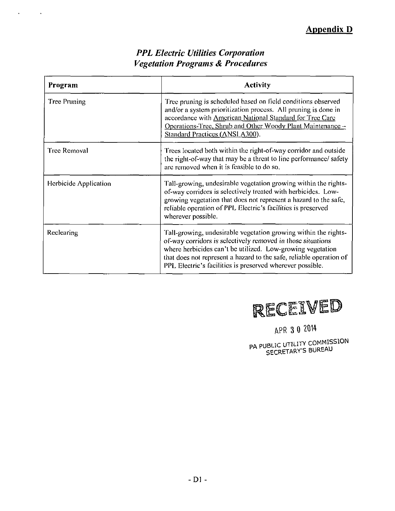| <b>PPL Electric Utilities Corporation</b>   |
|---------------------------------------------|
| <b>Vegetation Programs &amp; Procedures</b> |

 $\mathcal{A}(\mathcal{A})$  and  $\mathcal{A}(\mathcal{A})$ 

| Program               | <b>Activity</b>                                                                                                                                                                                                                                                                                                                  |
|-----------------------|----------------------------------------------------------------------------------------------------------------------------------------------------------------------------------------------------------------------------------------------------------------------------------------------------------------------------------|
| <b>Tree Pruning</b>   | Tree pruning is scheduled based on field conditions observed<br>and/or a system prioritization process. All pruning is done in<br>accordance with American National Standard for Tree Care<br>Operations-Tree, Shrub and Other Woody Plant Maintenance -<br>Standard Practices (ANSI A300).                                      |
| <b>Tree Removal</b>   | Trees located both within the right-of-way corridor and outside<br>the right-of-way that may be a threat to line performance/safety<br>are removed when it is feasible to do so.                                                                                                                                                 |
| Herbicide Application | Tall-growing, undesirable vegetation growing within the rights-<br>of-way corridors is selectively treated with herbicides. Low-<br>growing vegetation that does not represent a hazard to the safe,<br>reliable operation of PPL Electric's facilities is preserved<br>wherever possible.                                       |
| Reclearing            | Tall-growing, undesirable vegetation growing within the rights-<br>of-way corridors is selectively removed in those situations<br>where herbicides can't be utilized. Low-growing vegetation<br>that does not represent a hazard to the safe, reliable operation of<br>PPL Electric's facilities is preserved wherever possible. |



APR 3 0 ZOH

**BA PUBLIC UTILITY COMMISSION** SECRETARY'S BUREAU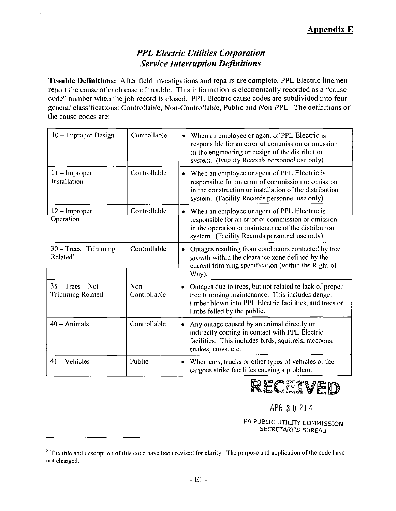### *PPL Electric Utilities Corporation Service Interruption Definitions*

Trouble Definitions: After field investigations and repairs are complete, PPL Electric linemen report the cause of each case of trouble. This information is electronically recorded as a "cause code" number when the job record is closed. PPL Electric cause codes are subdivided into four general classifications: Controllable, Non-Controllable, Public and Non-PPL. The definitions of the cause codes are:

| 10 – Improper Design                            | Controllable         | When an employee or agent of PPL Electric is<br>٠<br>responsible for an error of commission or omission<br>in the engineering or design of the distribution<br>system. (Facility Records personnel use only)            |
|-------------------------------------------------|----------------------|-------------------------------------------------------------------------------------------------------------------------------------------------------------------------------------------------------------------------|
| $11 -$ Improper<br>Installation                 | Controllable         | When an employee or agent of PPL Electric is<br>٠<br>responsible for an error of commission or omission<br>in the construction or installation of the distribution<br>system. (Facility Records personnel use only)     |
| 12 - Improper<br>Operation                      | Controllable         | When an employee or agent of PPL Electric is<br>$\bullet$<br>responsible for an error of commission or omission<br>in the operation or maintenance of the distribution<br>system. (Facility Records personnel use only) |
| $30 - Trees - Trimming$<br>Related <sup>8</sup> | Controllable         | Outages resulting from conductors contacted by tree<br>۰<br>growth within the clearance zone defined by the<br>current trimming specification (within the Right-of-<br>Way).                                            |
| $35 - Trees - Not$<br><b>Trimming Related</b>   | Non-<br>Controllable | Outages due to trees, but not related to lack of proper<br>tree trimming maintenance. This includes danger<br>timber blown into PPL Electric facilities, and trees or<br>limbs felled by the public.                    |
| $40 -$ Animals                                  | Controllable         | Any outage caused by an animal directly or<br>indirectly coming in contact with PPL Electric<br>facilities. This includes birds, squirrels, raccoons,<br>snakes, cows, etc.                                             |
| $41 - Vehicles$                                 | Public               | When cars, trucks or other types of vehicles or their<br>cargoes strike facilities causing a problem.                                                                                                                   |

RECEIVED

APR 3 0 2014

PA PUBLIC UTILITY COMMISSION SECRETARY'S BUREAU

 $<sup>8</sup>$  The title and description of this code have been revised for clarity. The purpose and application of the code have</sup> not changed.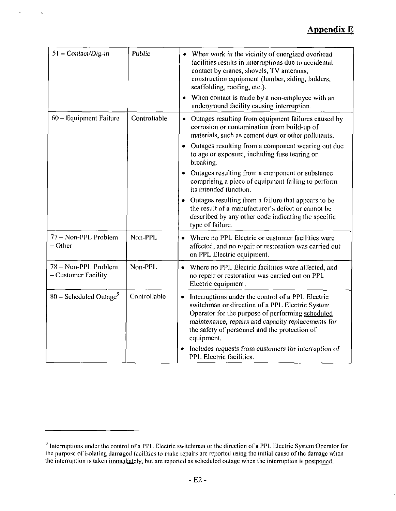### **Appendix E**

| 51 - Contact/Dig-in                         | Public       | • When work in the vicinity of energized overhead<br>facilities results in interruptions due to accidental<br>contact by cranes, shovels, TV antennas,<br>construction equipment (lumber, siding, ladders,<br>scaffolding, roofing, etc.).<br>When contact is made by a non-employee with an |
|---------------------------------------------|--------------|----------------------------------------------------------------------------------------------------------------------------------------------------------------------------------------------------------------------------------------------------------------------------------------------|
| $60 -$ Equipment Failure                    | Controllable | underground facility causing interruption.<br>Outages resulting from equipment failures caused by<br>corrosion or contamination from build-up of<br>materials, such as cement dust or other pollutants.                                                                                      |
|                                             |              | Outages resulting from a component wearing out due<br>٠<br>to age or exposure, including fuse tearing or<br>breaking.                                                                                                                                                                        |
|                                             |              | • Outages resulting from a component or substance<br>comprising a piece of equipment failing to perform<br>its intended function.                                                                                                                                                            |
|                                             |              | • Outages resulting from a failure that appears to be<br>the result of a manufacturer's defect or cannot be<br>described by any other code indicating the specific<br>type of failure.                                                                                                       |
| 77 - Non-PPL Problem<br>$-$ Other           | Non-PPL      | Where no PPL Electric or customer facilities were<br>affected, and no repair or restoration was carried out<br>on PPL Electric equipment.                                                                                                                                                    |
| 78 - Non-PPL Problem<br>- Customer Facility | Non-PPL      | • Where no PPL Electric facilities were affected, and<br>no repair or restoration was carried out on PPL<br>Electric equipment.                                                                                                                                                              |
| $80 -$ Scheduled Outage <sup>9</sup>        | Controllable | Interruptions under the control of a PPL Electric<br>switchman or direction of a PPL Electric System<br>Operator for the purpose of performing scheduled<br>maintenance, repairs and capacity replacements for<br>the safety of personnel and the protection of<br>equipment.                |
|                                             |              | Includes requests from customers for interruption of<br>PPL Electric facilities.                                                                                                                                                                                                             |

 $\overline{a}$ 

 $\ddot{\phantom{1}}$ 

 $<sup>9</sup>$  Interruptions under the control of a PPL Electric switchman or the direction of a PPL Electric System Operator for</sup> the purpose of isolating damaged facilities to make repairs arc reported using the initial cause ofthe damage when the interruption is taken immediately, but arc reported as scheduled outage when the interruption is postponed.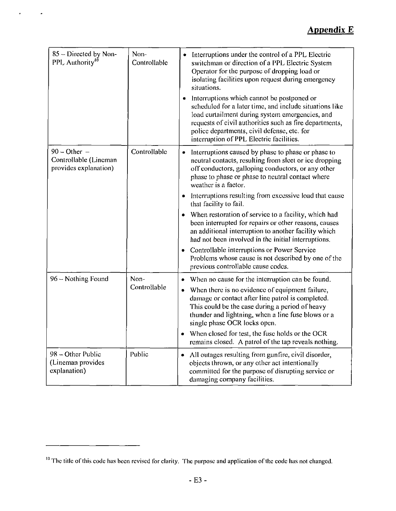# **Appendix E**

| 85 – Directed by Non-<br>PPL Authority <sup>10</sup>             | Non-<br>Controllable | Interruptions under the control of a PPL Electric<br>switchman or direction of a PPL Electric System<br>Operator for the purpose of dropping load or<br>isolating facilities upon request during emergency<br>situations.                                                                                      |
|------------------------------------------------------------------|----------------------|----------------------------------------------------------------------------------------------------------------------------------------------------------------------------------------------------------------------------------------------------------------------------------------------------------------|
|                                                                  |                      | Interruptions which cannot be postponed or<br>scheduled for a later time, and include situations like<br>load curtailment during system emergencies, and<br>requests of civil authorities such as fire departments,<br>police departments, civil defense, etc. for<br>interruption of PPL Electric facilities. |
| $90 - Other -$<br>Controllable (Lineman<br>provides explanation) | Controllable         | Interruptions caused by phase to phase or phase to<br>٠<br>neutral contacts, resulting from sleet or ice dropping<br>off conductors, galloping conductors, or any other<br>phase to phase or phase to neutral contact where<br>weather is a factor.                                                            |
|                                                                  |                      | Interruptions resulting from excessive load that cause<br>۰<br>that facility to fail.                                                                                                                                                                                                                          |
|                                                                  |                      | When restoration of service to a facility, which had<br>been interrupted for repairs or other reasons, causes<br>an additional interruption to another facility which<br>had not been involved in the initial interruptions.                                                                                   |
|                                                                  |                      | Controllable interruptions or Power Service<br>Problems whose cause is not described by one of the<br>previous controllable cause codes.                                                                                                                                                                       |
| 96 - Nothing Found                                               | Non-<br>Controllable | When no cause for the interruption can be found.                                                                                                                                                                                                                                                               |
|                                                                  |                      | • When there is no evidence of equipment failure,<br>damage or contact after line patrol is completed.<br>This could be the case during a period of heavy<br>thunder and lightning, when a line fuse blows or a<br>single phase OCR locks open.                                                                |
|                                                                  |                      | When closed for test, the fuse holds or the OCR<br>$\bullet$<br>remains closed. A patrol of the tap reveals nothing.                                                                                                                                                                                           |
| 98 - Other Public<br>(Lineman provides<br>explanation)           | Public               | All outages resulting from gunfire, civil disorder,<br>$\bullet$<br>objects thrown, or any other act intentionally<br>committed for the purpose of disrupting service or<br>damaging company facilities.                                                                                                       |

<sup>&</sup>lt;sup>10</sup> The title of this code has been revised for clarity. The purpose and application of the code has not changed.